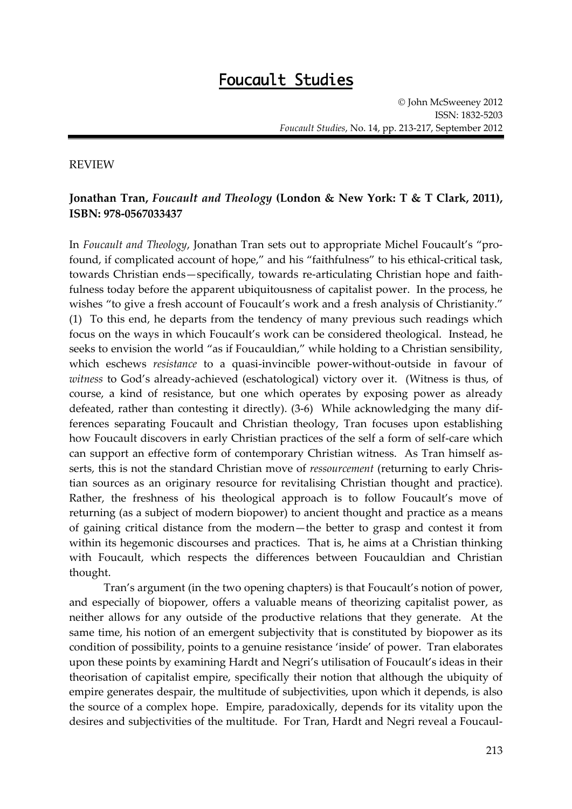## **Foucault Studies**

## REVIEW

## **Jonathan Tran,** *Foucault and Theology* **(London & New York: T & T Clark, 2011), ISBN: 978-0567033437**

In *Foucault and Theology*, Jonathan Tran sets out to appropriate Michel Foucault's "profound, if complicated account of hope," and his "faithfulness" to his ethical-critical task, towards Christian ends—specifically, towards re-articulating Christian hope and faithfulness today before the apparent ubiquitousness of capitalist power. In the process, he wishes "to give a fresh account of Foucault's work and a fresh analysis of Christianity." (1) To this end, he departs from the tendency of many previous such readings which focus on the ways in which Foucault's work can be considered theological. Instead, he seeks to envision the world "as if Foucauldian," while holding to a Christian sensibility, which eschews *resistance* to a quasi-invincible power-without-outside in favour of *witness* to God's already-achieved (eschatological) victory over it. (Witness is thus, of course, a kind of resistance, but one which operates by exposing power as already defeated, rather than contesting it directly). (3-6) While acknowledging the many differences separating Foucault and Christian theology, Tran focuses upon establishing how Foucault discovers in early Christian practices of the self a form of self-care which can support an effective form of contemporary Christian witness. As Tran himself asserts, this is not the standard Christian move of *ressourcement* (returning to early Christian sources as an originary resource for revitalising Christian thought and practice). Rather, the freshness of his theological approach is to follow Foucault's move of returning (as a subject of modern biopower) to ancient thought and practice as a means of gaining critical distance from the modern—the better to grasp and contest it from within its hegemonic discourses and practices. That is, he aims at a Christian thinking with Foucault, which respects the differences between Foucauldian and Christian thought.

Tran's argument (in the two opening chapters) is that Foucault's notion of power, and especially of biopower, offers a valuable means of theorizing capitalist power, as neither allows for any outside of the productive relations that they generate. At the same time, his notion of an emergent subjectivity that is constituted by biopower as its condition of possibility, points to a genuine resistance 'inside' of power. Tran elaborates upon these points by examining Hardt and Negri's utilisation of Foucault's ideas in their theorisation of capitalist empire, specifically their notion that although the ubiquity of empire generates despair, the multitude of subjectivities, upon which it depends, is also the source of a complex hope. Empire, paradoxically, depends for its vitality upon the desires and subjectivities of the multitude. For Tran, Hardt and Negri reveal a Foucaul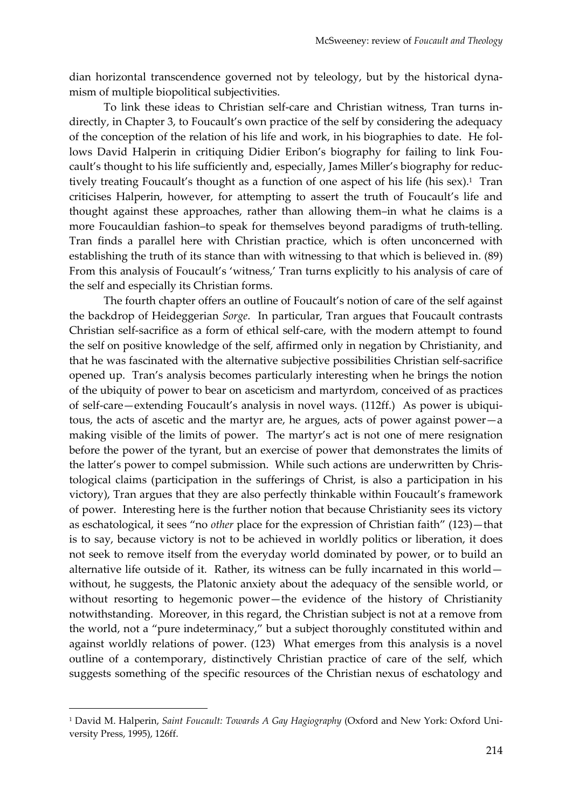dian horizontal transcendence governed not by teleology, but by the historical dynamism of multiple biopolitical subjectivities.

To link these ideas to Christian self-care and Christian witness, Tran turns indirectly, in Chapter 3, to Foucault's own practice of the self by considering the adequacy of the conception of the relation of his life and work, in his biographies to date. He follows David Halperin in critiquing Didier Eribon's biography for failing to link Foucault's thought to his life sufficiently and, especially, James Miller's biography for reductively treating Foucault's thought as a function of one aspect of his life (his sex). <sup>1</sup> Tran criticises Halperin, however, for attempting to assert the truth of Foucault's life and thought against these approaches, rather than allowing them–in what he claims is a more Foucauldian fashion–to speak for themselves beyond paradigms of truth-telling. Tran finds a parallel here with Christian practice, which is often unconcerned with establishing the truth of its stance than with witnessing to that which is believed in. (89) From this analysis of Foucault's 'witness,' Tran turns explicitly to his analysis of care of the self and especially its Christian forms.

The fourth chapter offers an outline of Foucault's notion of care of the self against the backdrop of Heideggerian *Sorge*. In particular, Tran argues that Foucault contrasts Christian self-sacrifice as a form of ethical self-care, with the modern attempt to found the self on positive knowledge of the self, affirmed only in negation by Christianity, and that he was fascinated with the alternative subjective possibilities Christian self-sacrifice opened up. Tran's analysis becomes particularly interesting when he brings the notion of the ubiquity of power to bear on asceticism and martyrdom, conceived of as practices of self-care—extending Foucault's analysis in novel ways. (112ff.) As power is ubiquitous, the acts of ascetic and the martyr are, he argues, acts of power against power—a making visible of the limits of power. The martyr's act is not one of mere resignation before the power of the tyrant, but an exercise of power that demonstrates the limits of the latter's power to compel submission. While such actions are underwritten by Christological claims (participation in the sufferings of Christ, is also a participation in his victory), Tran argues that they are also perfectly thinkable within Foucault's framework of power. Interesting here is the further notion that because Christianity sees its victory as eschatological, it sees "no *other* place for the expression of Christian faith" (123)—that is to say, because victory is not to be achieved in worldly politics or liberation, it does not seek to remove itself from the everyday world dominated by power, or to build an alternative life outside of it. Rather, its witness can be fully incarnated in this world without, he suggests, the Platonic anxiety about the adequacy of the sensible world, or without resorting to hegemonic power—the evidence of the history of Christianity notwithstanding. Moreover, in this regard, the Christian subject is not at a remove from the world, not a "pure indeterminacy," but a subject thoroughly constituted within and against worldly relations of power. (123) What emerges from this analysis is a novel outline of a contemporary, distinctively Christian practice of care of the self, which suggests something of the specific resources of the Christian nexus of eschatology and

1

<sup>1</sup> David M. Halperin, *Saint Foucault: Towards A Gay Hagiography* (Oxford and New York: Oxford University Press, 1995), 126ff.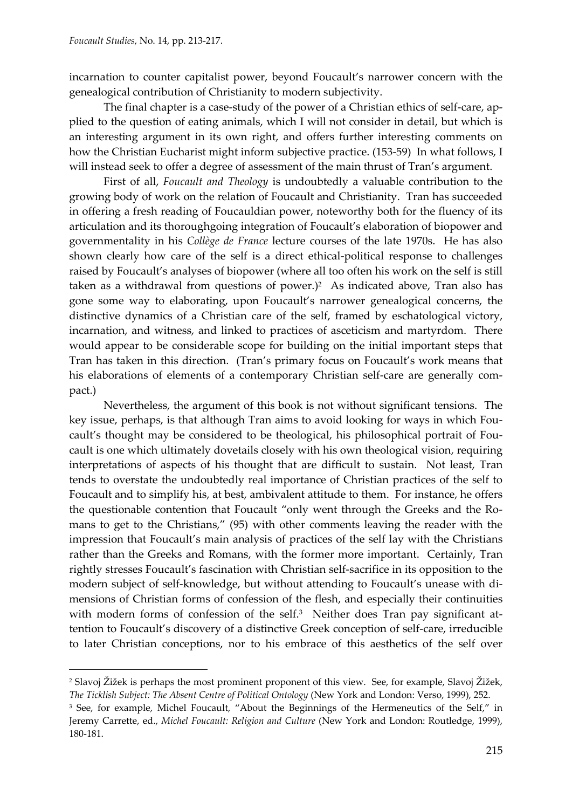1

incarnation to counter capitalist power, beyond Foucault's narrower concern with the genealogical contribution of Christianity to modern subjectivity.

The final chapter is a case-study of the power of a Christian ethics of self-care, applied to the question of eating animals, which I will not consider in detail, but which is an interesting argument in its own right, and offers further interesting comments on how the Christian Eucharist might inform subjective practice. (153-59) In what follows, I will instead seek to offer a degree of assessment of the main thrust of Tran's argument.

First of all, *Foucault and Theology* is undoubtedly a valuable contribution to the growing body of work on the relation of Foucault and Christianity. Tran has succeeded in offering a fresh reading of Foucauldian power, noteworthy both for the fluency of its articulation and its thoroughgoing integration of Foucault's elaboration of biopower and governmentality in his *Collège de France* lecture courses of the late 1970s. He has also shown clearly how care of the self is a direct ethical-political response to challenges raised by Foucault's analyses of biopower (where all too often his work on the self is still taken as a withdrawal from questions of power.)<sup>2</sup> As indicated above, Tran also has gone some way to elaborating, upon Foucault's narrower genealogical concerns, the distinctive dynamics of a Christian care of the self, framed by eschatological victory, incarnation, and witness, and linked to practices of asceticism and martyrdom. There would appear to be considerable scope for building on the initial important steps that Tran has taken in this direction. (Tran's primary focus on Foucault's work means that his elaborations of elements of a contemporary Christian self-care are generally compact.)

Nevertheless, the argument of this book is not without significant tensions. The key issue, perhaps, is that although Tran aims to avoid looking for ways in which Foucault's thought may be considered to be theological, his philosophical portrait of Foucault is one which ultimately dovetails closely with his own theological vision, requiring interpretations of aspects of his thought that are difficult to sustain. Not least, Tran tends to overstate the undoubtedly real importance of Christian practices of the self to Foucault and to simplify his, at best, ambivalent attitude to them. For instance, he offers the questionable contention that Foucault "only went through the Greeks and the Romans to get to the Christians," (95) with other comments leaving the reader with the impression that Foucault's main analysis of practices of the self lay with the Christians rather than the Greeks and Romans, with the former more important. Certainly, Tran rightly stresses Foucault's fascination with Christian self-sacrifice in its opposition to the modern subject of self-knowledge, but without attending to Foucault's unease with dimensions of Christian forms of confession of the flesh, and especially their continuities with modern forms of confession of the self.<sup>3</sup> Neither does Tran pay significant attention to Foucault's discovery of a distinctive Greek conception of self-care, irreducible to later Christian conceptions, nor to his embrace of this aesthetics of the self over

<sup>&</sup>lt;sup>2</sup> Slavoj Žižek is perhaps the most prominent proponent of this view. See, for example, Slavoj Žižek, *The Ticklish Subject: The Absent Centre of Political Ontology* (New York and London: Verso, 1999), 252.

<sup>&</sup>lt;sup>3</sup> See, for example, Michel Foucault, "About the Beginnings of the Hermeneutics of the Self," in Jeremy Carrette, ed., *Michel Foucault: Religion and Culture* (New York and London: Routledge, 1999), 180-181.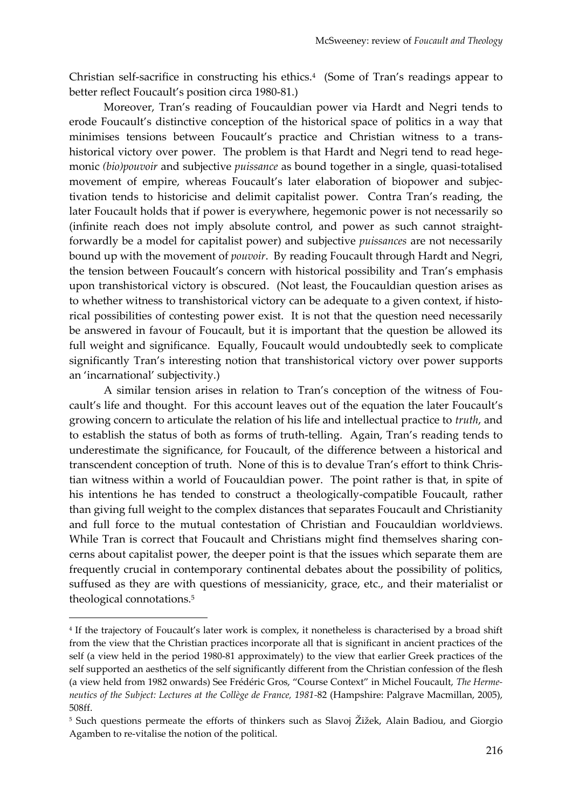Christian self-sacrifice in constructing his ethics. 4 (Some of Tran's readings appear to better reflect Foucault's position circa 1980-81.)

Moreover, Tran's reading of Foucauldian power via Hardt and Negri tends to erode Foucault's distinctive conception of the historical space of politics in a way that minimises tensions between Foucault's practice and Christian witness to a transhistorical victory over power. The problem is that Hardt and Negri tend to read hegemonic *(bio)pouvoir* and subjective *puissance* as bound together in a single, quasi-totalised movement of empire, whereas Foucault's later elaboration of biopower and subjectivation tends to historicise and delimit capitalist power. Contra Tran's reading, the later Foucault holds that if power is everywhere, hegemonic power is not necessarily so (infinite reach does not imply absolute control, and power as such cannot straightforwardly be a model for capitalist power) and subjective *puissances* are not necessarily bound up with the movement of *pouvoir*. By reading Foucault through Hardt and Negri, the tension between Foucault's concern with historical possibility and Tran's emphasis upon transhistorical victory is obscured. (Not least, the Foucauldian question arises as to whether witness to transhistorical victory can be adequate to a given context, if historical possibilities of contesting power exist. It is not that the question need necessarily be answered in favour of Foucault, but it is important that the question be allowed its full weight and significance. Equally, Foucault would undoubtedly seek to complicate significantly Tran's interesting notion that transhistorical victory over power supports an 'incarnational' subjectivity.)

A similar tension arises in relation to Tran's conception of the witness of Foucault's life and thought. For this account leaves out of the equation the later Foucault's growing concern to articulate the relation of his life and intellectual practice to *truth*, and to establish the status of both as forms of truth-telling. Again, Tran's reading tends to underestimate the significance, for Foucault, of the difference between a historical and transcendent conception of truth. None of this is to devalue Tran's effort to think Christian witness within a world of Foucauldian power. The point rather is that, in spite of his intentions he has tended to construct a theologically-compatible Foucault, rather than giving full weight to the complex distances that separates Foucault and Christianity and full force to the mutual contestation of Christian and Foucauldian worldviews. While Tran is correct that Foucault and Christians might find themselves sharing concerns about capitalist power, the deeper point is that the issues which separate them are frequently crucial in contemporary continental debates about the possibility of politics, suffused as they are with questions of messianicity, grace, etc., and their materialist or theological connotations.<sup>5</sup>

1

<sup>4</sup> If the trajectory of Foucault's later work is complex, it nonetheless is characterised by a broad shift from the view that the Christian practices incorporate all that is significant in ancient practices of the self (a view held in the period 1980-81 approximately) to the view that earlier Greek practices of the self supported an aesthetics of the self significantly different from the Christian confession of the flesh (a view held from 1982 onwards) See Frédéric Gros, "Course Context" in Michel Foucault, *The Hermeneutics of the Subject: Lectures at the Collège de France, 1981-*82 (Hampshire: Palgrave Macmillan, 2005), 508ff.

<sup>5</sup> Such questions permeate the efforts of thinkers such as Slavoj Žižek, Alain Badiou, and Giorgio Agamben to re-vitalise the notion of the political.